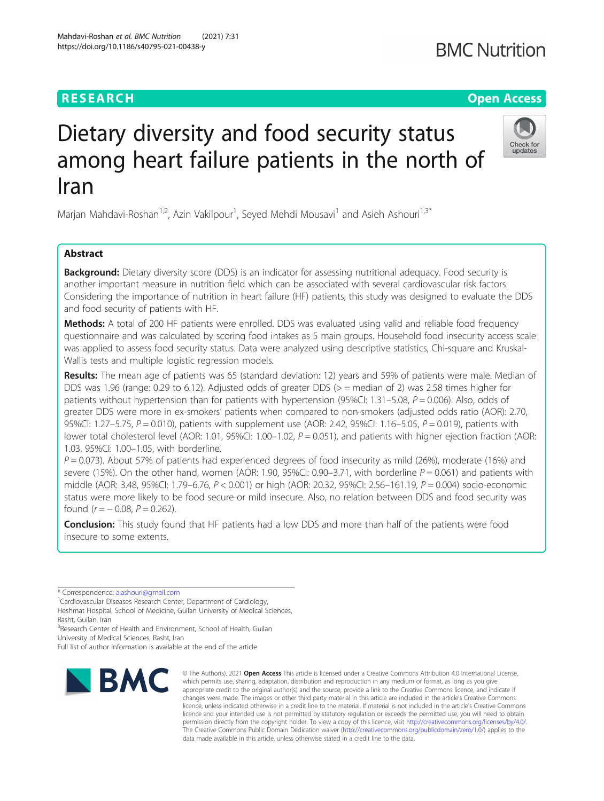# **RESEARCH CHE Open Access**

# Dietary diversity and food security status among heart failure patients in the north of Iran

Marjan Mahdavi-Roshan<sup>1,2</sup>, Azin Vakilpour<sup>1</sup>, Seyed Mehdi Mousavi<sup>1</sup> and Asieh Ashouri<sup>1,3\*</sup>

# Abstract

**Background:** Dietary diversity score (DDS) is an indicator for assessing nutritional adequacy. Food security is another important measure in nutrition field which can be associated with several cardiovascular risk factors. Considering the importance of nutrition in heart failure (HF) patients, this study was designed to evaluate the DDS and food security of patients with HF.

Methods: A total of 200 HF patients were enrolled. DDS was evaluated using valid and reliable food frequency questionnaire and was calculated by scoring food intakes as 5 main groups. Household food insecurity access scale was applied to assess food security status. Data were analyzed using descriptive statistics, Chi-square and Kruskal-Wallis tests and multiple logistic regression models.

Results: The mean age of patients was 65 (standard deviation: 12) years and 59% of patients were male. Median of DDS was 1.96 (range: 0.29 to 6.12). Adjusted odds of greater DDS ( $>$  = median of 2) was 2.58 times higher for patients without hypertension than for patients with hypertension (95%CI: 1.31–5.08,  $P = 0.006$ ). Also, odds of greater DDS were more in ex-smokers' patients when compared to non-smokers (adjusted odds ratio (AOR): 2.70, 95%CI: 1.27–5.75,  $P = 0.010$ ), patients with supplement use (AOR: 2.42, 95%CI: 1.16–5.05,  $P = 0.019$ ), patients with lower total cholesterol level (AOR: 1.01, 95%CI: 1.00–1.02,  $P = 0.051$ ), and patients with higher ejection fraction (AOR: 1.03, 95%CI: 1.00–1.05, with borderline.

 $P = 0.073$ ). About 57% of patients had experienced degrees of food insecurity as mild (26%), moderate (16%) and severe (15%). On the other hand, women (AOR: 1.90, 95%CI: 0.90–3.71, with borderline  $P = 0.061$ ) and patients with middle (AOR: 3.48, 95%Cl: 1.79–6.76, P < 0.001) or high (AOR: 20.32, 95%Cl: 2.56–161.19, P = 0.004) socio-economic status were more likely to be food secure or mild insecure. Also, no relation between DDS and food security was found  $(r = -0.08, P = 0.262)$ .

**Conclusion:** This study found that HF patients had a low DDS and more than half of the patients were food insecure to some extents.



<sup>©</sup> The Author(s), 2021 **Open Access** This article is licensed under a Creative Commons Attribution 4.0 International License, which permits use, sharing, adaptation, distribution and reproduction in any medium or format, as long as you give appropriate credit to the original author(s) and the source, provide a link to the Creative Commons licence, and indicate if changes were made. The images or other third party material in this article are included in the article's Creative Commons licence, unless indicated otherwise in a credit line to the material. If material is not included in the article's Creative Commons licence and your intended use is not permitted by statutory regulation or exceeds the permitted use, you will need to obtain permission directly from the copyright holder. To view a copy of this licence, visit [http://creativecommons.org/licenses/by/4.0/.](http://creativecommons.org/licenses/by/4.0/) The Creative Commons Public Domain Dedication waiver [\(http://creativecommons.org/publicdomain/zero/1.0/](http://creativecommons.org/publicdomain/zero/1.0/)) applies to the data made available in this article, unless otherwise stated in a credit line to the data.



<sup>\*</sup> Correspondence: [a.ashouri@gmail.com](mailto:a.ashouri@gmail.com) <sup>1</sup>

<sup>&</sup>lt;sup>1</sup> Cardiovascular Diseases Research Center, Department of Cardiology, Heshmat Hospital, School of Medicine, Guilan University of Medical Sciences,

Rasht, Guilan, Iran <sup>3</sup>Research Center of Health and Environment, School of Health, Guilan

University of Medical Sciences, Rasht, Iran

Full list of author information is available at the end of the article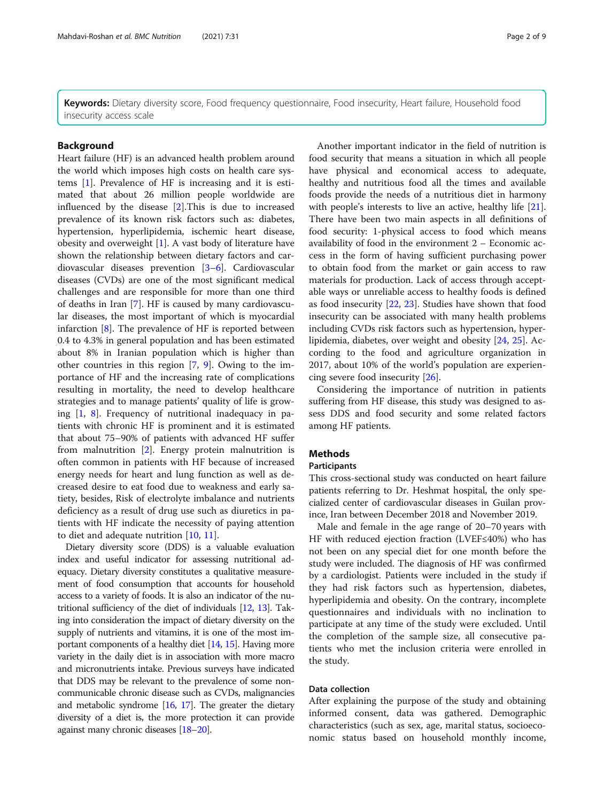Keywords: Dietary diversity score, Food frequency questionnaire, Food insecurity, Heart failure, Household food insecurity access scale

#### Background

Heart failure (HF) is an advanced health problem around the world which imposes high costs on health care systems [[1\]](#page-7-0). Prevalence of HF is increasing and it is estimated that about 26 million people worldwide are influenced by the disease [[2\]](#page-7-0).This is due to increased prevalence of its known risk factors such as: diabetes, hypertension, hyperlipidemia, ischemic heart disease, obesity and overweight [[1\]](#page-7-0). A vast body of literature have shown the relationship between dietary factors and cardiovascular diseases prevention [\[3](#page-7-0)–[6\]](#page-7-0). Cardiovascular diseases (CVDs) are one of the most significant medical challenges and are responsible for more than one third of deaths in Iran [[7](#page-7-0)]. HF is caused by many cardiovascular diseases, the most important of which is myocardial infarction [[8\]](#page-7-0). The prevalence of HF is reported between 0.4 to 4.3% in general population and has been estimated about 8% in Iranian population which is higher than other countries in this region [\[7](#page-7-0), [9\]](#page-7-0). Owing to the importance of HF and the increasing rate of complications resulting in mortality, the need to develop healthcare strategies and to manage patients' quality of life is growing [[1](#page-7-0), [8\]](#page-7-0). Frequency of nutritional inadequacy in patients with chronic HF is prominent and it is estimated that about 75–90% of patients with advanced HF suffer from malnutrition [\[2](#page-7-0)]. Energy protein malnutrition is often common in patients with HF because of increased energy needs for heart and lung function as well as decreased desire to eat food due to weakness and early satiety, besides, Risk of electrolyte imbalance and nutrients deficiency as a result of drug use such as diuretics in patients with HF indicate the necessity of paying attention to diet and adequate nutrition [\[10,](#page-7-0) [11\]](#page-7-0).

Dietary diversity score (DDS) is a valuable evaluation index and useful indicator for assessing nutritional adequacy. Dietary diversity constitutes a qualitative measurement of food consumption that accounts for household access to a variety of foods. It is also an indicator of the nutritional sufficiency of the diet of individuals [\[12,](#page-7-0) [13](#page-7-0)]. Taking into consideration the impact of dietary diversity on the supply of nutrients and vitamins, it is one of the most important components of a healthy diet [[14](#page-8-0), [15](#page-8-0)]. Having more variety in the daily diet is in association with more macro and micronutrients intake. Previous surveys have indicated that DDS may be relevant to the prevalence of some noncommunicable chronic disease such as CVDs, malignancies and metabolic syndrome [\[16](#page-8-0), [17\]](#page-8-0). The greater the dietary diversity of a diet is, the more protection it can provide against many chronic diseases [\[18](#page-8-0)–[20\]](#page-8-0).

Another important indicator in the field of nutrition is food security that means a situation in which all people have physical and economical access to adequate, healthy and nutritious food all the times and available foods provide the needs of a nutritious diet in harmony with people's interests to live an active, healthy life [\[21](#page-8-0)]. There have been two main aspects in all definitions of food security: 1-physical access to food which means availability of food in the environment 2 – Economic access in the form of having sufficient purchasing power to obtain food from the market or gain access to raw materials for production. Lack of access through acceptable ways or unreliable access to healthy foods is defined as food insecurity [[22](#page-8-0), [23\]](#page-8-0). Studies have shown that food insecurity can be associated with many health problems including CVDs risk factors such as hypertension, hyperlipidemia, diabetes, over weight and obesity [\[24,](#page-8-0) [25](#page-8-0)]. According to the food and agriculture organization in 2017, about 10% of the world's population are experiencing severe food insecurity [[26\]](#page-8-0).

Considering the importance of nutrition in patients suffering from HF disease, this study was designed to assess DDS and food security and some related factors among HF patients.

# **Methods**

#### Participants

This cross-sectional study was conducted on heart failure patients referring to Dr. Heshmat hospital, the only specialized center of cardiovascular diseases in Guilan province, Iran between December 2018 and November 2019.

Male and female in the age range of 20–70 years with HF with reduced ejection fraction (LVEF≤40%) who has not been on any special diet for one month before the study were included. The diagnosis of HF was confirmed by a cardiologist. Patients were included in the study if they had risk factors such as hypertension, diabetes, hyperlipidemia and obesity. On the contrary, incomplete questionnaires and individuals with no inclination to participate at any time of the study were excluded. Until the completion of the sample size, all consecutive patients who met the inclusion criteria were enrolled in the study.

## Data collection

After explaining the purpose of the study and obtaining informed consent, data was gathered. Demographic characteristics (such as sex, age, marital status, socioeconomic status based on household monthly income,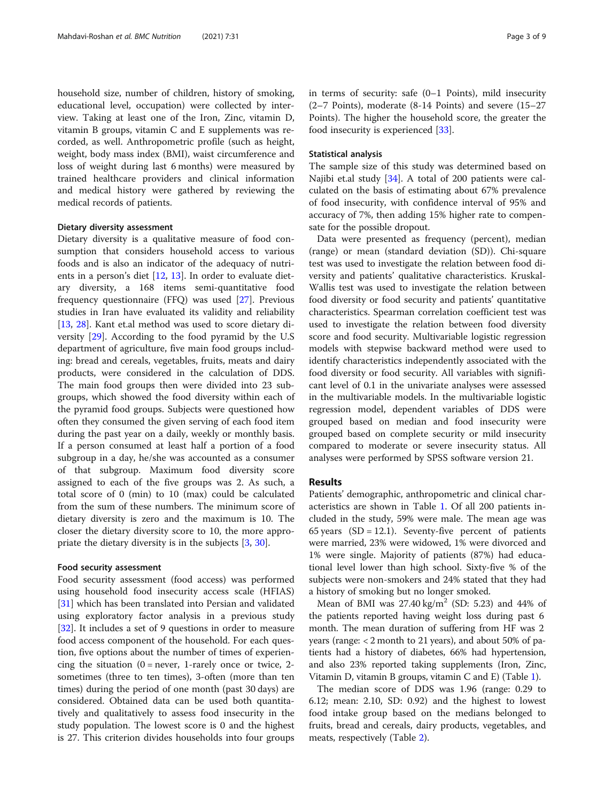household size, number of children, history of smoking, educational level, occupation) were collected by interview. Taking at least one of the Iron, Zinc, vitamin D, vitamin B groups, vitamin C and E supplements was recorded, as well. Anthropometric profile (such as height, weight, body mass index (BMI), waist circumference and loss of weight during last 6 months) were measured by trained healthcare providers and clinical information and medical history were gathered by reviewing the medical records of patients.

#### Dietary diversity assessment

Dietary diversity is a qualitative measure of food consumption that considers household access to various foods and is also an indicator of the adequacy of nutrients in a person's diet [\[12](#page-7-0), [13](#page-7-0)]. In order to evaluate dietary diversity, a 168 items semi-quantitative food frequency questionnaire (FFQ) was used [[27\]](#page-8-0). Previous studies in Iran have evaluated its validity and reliability [[13,](#page-7-0) [28\]](#page-8-0). Kant et.al method was used to score dietary diversity [\[29](#page-8-0)]. According to the food pyramid by the U.S department of agriculture, five main food groups including: bread and cereals, vegetables, fruits, meats and dairy products, were considered in the calculation of DDS. The main food groups then were divided into 23 subgroups, which showed the food diversity within each of the pyramid food groups. Subjects were questioned how often they consumed the given serving of each food item during the past year on a daily, weekly or monthly basis. If a person consumed at least half a portion of a food subgroup in a day, he/she was accounted as a consumer of that subgroup. Maximum food diversity score assigned to each of the five groups was 2. As such, a total score of 0 (min) to 10 (max) could be calculated from the sum of these numbers. The minimum score of dietary diversity is zero and the maximum is 10. The closer the dietary diversity score to 10, the more appropriate the dietary diversity is in the subjects [\[3](#page-7-0), [30](#page-8-0)].

#### Food security assessment

Food security assessment (food access) was performed using household food insecurity access scale (HFIAS) [[31\]](#page-8-0) which has been translated into Persian and validated using exploratory factor analysis in a previous study [[32\]](#page-8-0). It includes a set of 9 questions in order to measure food access component of the household. For each question, five options about the number of times of experiencing the situation  $(0 = never, 1 - rarely once or twice, 2$ sometimes (three to ten times), 3-often (more than ten times) during the period of one month (past 30 days) are considered. Obtained data can be used both quantitatively and qualitatively to assess food insecurity in the study population. The lowest score is 0 and the highest is 27. This criterion divides households into four groups in terms of security: safe (0–1 Points), mild insecurity (2–7 Points), moderate (8-14 Points) and severe (15–27 Points). The higher the household score, the greater the food insecurity is experienced [[33\]](#page-8-0).

#### Statistical analysis

The sample size of this study was determined based on Najibi et.al study [\[34](#page-8-0)]. A total of 200 patients were calculated on the basis of estimating about 67% prevalence of food insecurity, with confidence interval of 95% and accuracy of 7%, then adding 15% higher rate to compensate for the possible dropout.

Data were presented as frequency (percent), median (range) or mean (standard deviation (SD)). Chi-square test was used to investigate the relation between food diversity and patients' qualitative characteristics. Kruskal-Wallis test was used to investigate the relation between food diversity or food security and patients' quantitative characteristics. Spearman correlation coefficient test was used to investigate the relation between food diversity score and food security. Multivariable logistic regression models with stepwise backward method were used to identify characteristics independently associated with the food diversity or food security. All variables with significant level of 0.1 in the univariate analyses were assessed in the multivariable models. In the multivariable logistic regression model, dependent variables of DDS were grouped based on median and food insecurity were grouped based on complete security or mild insecurity compared to moderate or severe insecurity status. All analyses were performed by SPSS software version 21.

#### Results

Patients' demographic, anthropometric and clinical characteristics are shown in Table [1.](#page-3-0) Of all 200 patients included in the study, 59% were male. The mean age was 65 years  $(SD = 12.1)$ . Seventy-five percent of patients were married, 23% were widowed, 1% were divorced and 1% were single. Majority of patients (87%) had educational level lower than high school. Sixty-five % of the subjects were non-smokers and 24% stated that they had a history of smoking but no longer smoked.

Mean of BMI was  $27.40 \text{ kg/m}^2$  (SD: 5.23) and 44% of the patients reported having weight loss during past 6 month. The mean duration of suffering from HF was 2 years (range: < 2 month to 21 years), and about 50% of patients had a history of diabetes, 66% had hypertension, and also 23% reported taking supplements (Iron, Zinc, Vitamin D, vitamin B groups, vitamin C and E) (Table [1](#page-3-0)).

The median score of DDS was 1.96 (range: 0.29 to 6.12; mean: 2.10, SD: 0.92) and the highest to lowest food intake group based on the medians belonged to fruits, bread and cereals, dairy products, vegetables, and meats, respectively (Table [2](#page-4-0)).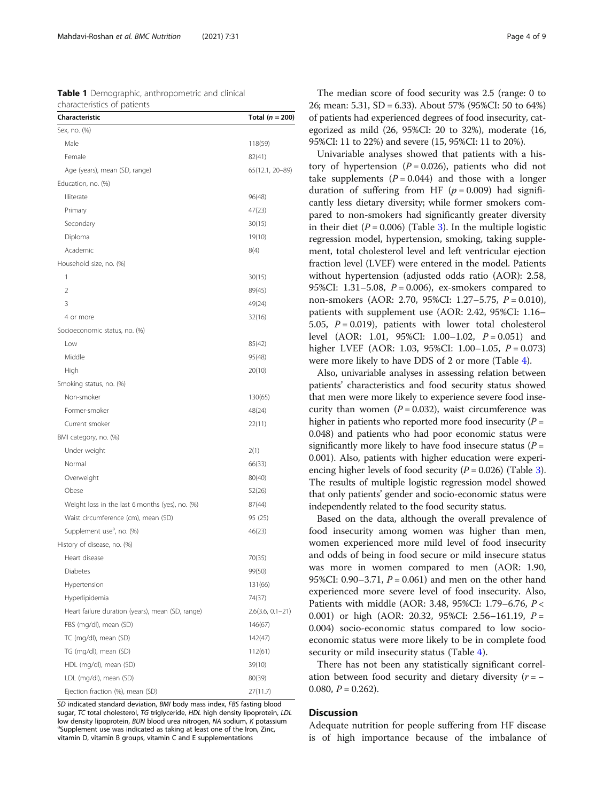<span id="page-3-0"></span>

|                             | <b>Table 1</b> Demographic, anthropometric and clinical |  |
|-----------------------------|---------------------------------------------------------|--|
| characteristics of patients |                                                         |  |

| Characteristic                                   | Total ( $n = 200$ ) |
|--------------------------------------------------|---------------------|
| Sex, no. (%)                                     |                     |
| Male                                             | 118(59)             |
| Female                                           | 82(41)              |
| Age (years), mean (SD, range)                    | 65(12.1, 20-89)     |
| Education, no. (%)                               |                     |
| Illiterate                                       | 96(48)              |
| Primary                                          | 47(23)              |
| Secondary                                        | 30(15)              |
| Diploma                                          | 19(10)              |
| Academic                                         | 8(4)                |
| Household size, no. (%)                          |                     |
| 1                                                | 30(15)              |
| 2                                                | 89(45)              |
| 3                                                | 49(24)              |
| 4 or more                                        | 32(16)              |
| Socioeconomic status, no. (%)                    |                     |
| Low                                              | 85(42)              |
| Middle                                           | 95(48)              |
| High                                             | 20(10)              |
| Smoking status, no. (%)                          |                     |
| Non-smoker                                       | 130(65)             |
| Former-smoker                                    | 48(24)              |
| Current smoker                                   | 22(11)              |
| BMI category, no. (%)                            |                     |
| Under weight                                     | 2(1)                |
| Normal                                           | 66(33)              |
| Overweight                                       | 80(40)              |
| Obese                                            | 52(26)              |
| Weight loss in the last 6 months (yes), no. (%)  | 87(44)              |
| Waist circumference (cm), mean (SD)              | 95 (25)             |
| Supplement use <sup>a</sup> , no. (%)            | 46(23)              |
| History of disease, no. (%)                      |                     |
| Heart disease                                    | 70(35)              |
| Diabetes                                         | 99(50)              |
| Hypertension                                     | 131(66)             |
| Hyperlipidemia                                   | 74(37)              |
| Heart failure duration (years), mean (SD, range) | $2.6(3.6, 0.1-21)$  |
| FBS (mg/dl), mean (SD)                           | 146(67)             |
| TC (mg/dl), mean (SD)                            | 142(47)             |
| TG (mg/dl), mean (SD)                            | 112(61)             |
| HDL (mg/dl), mean (SD)                           | 39(10)              |
| LDL (mg/dl), mean (SD)                           | 80(39)              |
| Ejection fraction (%), mean (SD)                 | 27(11.7)            |

SD indicated standard deviation, BMI body mass index, FBS fasting blood sugar, TC total cholesterol, TG triglyceride, HDL high density lipoprotein, LDL low density lipoprotein, BUN blood urea nitrogen, NA sodium, K potassium <sup>a</sup>Supplement use was indicated as taking at least one of the Iron, Zinc, vitamin D, vitamin B groups, vitamin C and E supplementations

The median score of food security was 2.5 (range: 0 to 26; mean: 5.31, SD = 6.33). About 57% (95%CI: 50 to 64%) of patients had experienced degrees of food insecurity, categorized as mild (26, 95%CI: 20 to 32%), moderate (16, 95%CI: 11 to 22%) and severe (15, 95%CI: 11 to 20%).

Univariable analyses showed that patients with a history of hypertension ( $P = 0.026$ ), patients who did not take supplements  $(P = 0.044)$  and those with a longer duration of suffering from HF  $(p = 0.009)$  had significantly less dietary diversity; while former smokers compared to non-smokers had significantly greater diversity in their diet ( $P = 0.006$ ) (Table [3\)](#page-5-0). In the multiple logistic regression model, hypertension, smoking, taking supplement, total cholesterol level and left ventricular ejection fraction level (LVEF) were entered in the model. Patients without hypertension (adjusted odds ratio (AOR): 2.58, 95%CI: 1.31–5.08,  $P = 0.006$ ), ex-smokers compared to non-smokers (AOR: 2.70, 95%CI: 1.27–5.75, P = 0.010), patients with supplement use (AOR: 2.42, 95%CI: 1.16– 5.05,  $P = 0.019$ ), patients with lower total cholesterol level (AOR: 1.01, 95%CI: 1.00-1.02,  $P = 0.051$ ) and higher LVEF (AOR: 1.03, 95%CI: 1.00–1.05,  $P = 0.073$ ) were more likely to have DDS of 2 or more (Table [4](#page-6-0)).

Also, univariable analyses in assessing relation between patients' characteristics and food security status showed that men were more likely to experience severe food insecurity than women  $(P = 0.032)$ , waist circumference was higher in patients who reported more food insecurity  $(P =$ 0.048) and patients who had poor economic status were significantly more likely to have food insecure status ( $P =$ 0.001). Also, patients with higher education were experiencing higher levels of food security  $(P = 0.026)$  (Table [3](#page-5-0)). The results of multiple logistic regression model showed that only patients' gender and socio-economic status were independently related to the food security status.

Based on the data, although the overall prevalence of food insecurity among women was higher than men, women experienced more mild level of food insecurity and odds of being in food secure or mild insecure status was more in women compared to men (AOR: 1.90, 95%CI: 0.90–3.71,  $P = 0.061$ ) and men on the other hand experienced more severe level of food insecurity. Also, Patients with middle (AOR: 3.48, 95%CI: 1.79–6.76, P < 0.001) or high (AOR: 20.32, 95%CI: 2.56-161.19,  $P =$ 0.004) socio-economic status compared to low socioeconomic status were more likely to be in complete food security or mild insecurity status (Table [4\)](#page-6-0).

There has not been any statistically significant correlation between food security and dietary diversity  $(r = -$ 0.080,  $P = 0.262$ ).

# **Discussion**

Adequate nutrition for people suffering from HF disease is of high importance because of the imbalance of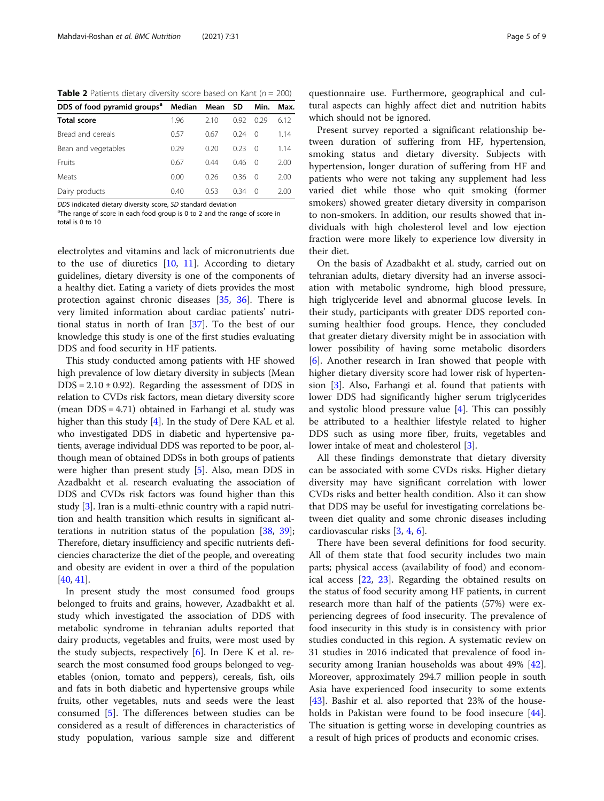<span id="page-4-0"></span>**Table 2** Patients dietary diversity score based on Kant ( $n = 200$ )

| DDS of food pyramid groups <sup>a</sup> Median Mean SD |      |      |      | Min.             | Max. |
|--------------------------------------------------------|------|------|------|------------------|------|
| <b>Total score</b>                                     | 1.96 | 2.10 | 0.92 | 0.29             | 6.12 |
| Bread and cereals                                      | 0.57 | 0.67 | 0.24 | $\Omega$         | 1.14 |
| Bean and vegetables                                    | 0.29 | 0.20 | 0.23 | $\Omega$         | 1.14 |
| Fruits                                                 | 0.67 | 0.44 | 0.46 | $\Omega$         | 2.00 |
| <b>Meats</b>                                           | 0.00 | 0.26 | 036  | $\Omega$         | 2.00 |
| Dairy products                                         | 0.40 | 0.53 | 0.34 | $\left( \right)$ | 2.00 |

DDS indicated dietary diversity score, SD standard deviation

<sup>a</sup>The range of score in each food group is 0 to 2 and the range of score in total is 0 to 10

electrolytes and vitamins and lack of micronutrients due to the use of diuretics  $[10, 11]$  $[10, 11]$  $[10, 11]$  $[10, 11]$ . According to dietary guidelines, dietary diversity is one of the components of a healthy diet. Eating a variety of diets provides the most protection against chronic diseases [\[35,](#page-8-0) [36](#page-8-0)]. There is very limited information about cardiac patients' nutritional status in north of Iran [[37](#page-8-0)]. To the best of our knowledge this study is one of the first studies evaluating DDS and food security in HF patients.

This study conducted among patients with HF showed high prevalence of low dietary diversity in subjects (Mean  $DDS = 2.10 \pm 0.92$ . Regarding the assessment of DDS in relation to CVDs risk factors, mean dietary diversity score (mean DDS = 4.71) obtained in Farhangi et al. study was higher than this study [\[4](#page-7-0)]. In the study of Dere KAL et al. who investigated DDS in diabetic and hypertensive patients, average individual DDS was reported to be poor, although mean of obtained DDSs in both groups of patients were higher than present study [\[5](#page-7-0)]. Also, mean DDS in Azadbakht et al. research evaluating the association of DDS and CVDs risk factors was found higher than this study [[3\]](#page-7-0). Iran is a multi-ethnic country with a rapid nutrition and health transition which results in significant alterations in nutrition status of the population [\[38,](#page-8-0) [39](#page-8-0)]; Therefore, dietary insufficiency and specific nutrients deficiencies characterize the diet of the people, and overeating and obesity are evident in over a third of the population [[40](#page-8-0), [41\]](#page-8-0).

In present study the most consumed food groups belonged to fruits and grains, however, Azadbakht et al. study which investigated the association of DDS with metabolic syndrome in tehranian adults reported that dairy products, vegetables and fruits, were most used by the study subjects, respectively  $[6]$  $[6]$ . In Dere K et al. research the most consumed food groups belonged to vegetables (onion, tomato and peppers), cereals, fish, oils and fats in both diabetic and hypertensive groups while fruits, other vegetables, nuts and seeds were the least consumed [\[5](#page-7-0)]. The differences between studies can be considered as a result of differences in characteristics of study population, various sample size and different

questionnaire use. Furthermore, geographical and cultural aspects can highly affect diet and nutrition habits which should not be ignored.

Present survey reported a significant relationship between duration of suffering from HF, hypertension, smoking status and dietary diversity. Subjects with hypertension, longer duration of suffering from HF and patients who were not taking any supplement had less varied diet while those who quit smoking (former smokers) showed greater dietary diversity in comparison to non-smokers. In addition, our results showed that individuals with high cholesterol level and low ejection fraction were more likely to experience low diversity in their diet.

On the basis of Azadbakht et al. study, carried out on tehranian adults, dietary diversity had an inverse association with metabolic syndrome, high blood pressure, high triglyceride level and abnormal glucose levels. In their study, participants with greater DDS reported consuming healthier food groups. Hence, they concluded that greater dietary diversity might be in association with lower possibility of having some metabolic disorders [[6\]](#page-7-0). Another research in Iran showed that people with higher dietary diversity score had lower risk of hypertension [\[3](#page-7-0)]. Also, Farhangi et al. found that patients with lower DDS had significantly higher serum triglycerides and systolic blood pressure value [\[4](#page-7-0)]. This can possibly be attributed to a healthier lifestyle related to higher DDS such as using more fiber, fruits, vegetables and lower intake of meat and cholesterol [[3\]](#page-7-0).

All these findings demonstrate that dietary diversity can be associated with some CVDs risks. Higher dietary diversity may have significant correlation with lower CVDs risks and better health condition. Also it can show that DDS may be useful for investigating correlations between diet quality and some chronic diseases including cardiovascular risks [[3,](#page-7-0) [4,](#page-7-0) [6\]](#page-7-0).

There have been several definitions for food security. All of them state that food security includes two main parts; physical access (availability of food) and economical access [\[22](#page-8-0), [23\]](#page-8-0). Regarding the obtained results on the status of food security among HF patients, in current research more than half of the patients (57%) were experiencing degrees of food insecurity. The prevalence of food insecurity in this study is in consistency with prior studies conducted in this region. A systematic review on 31 studies in 2016 indicated that prevalence of food insecurity among Iranian households was about 49% [\[42](#page-8-0)]. Moreover, approximately 294.7 million people in south Asia have experienced food insecurity to some extents [[43\]](#page-8-0). Bashir et al. also reported that 23% of the households in Pakistan were found to be food insecure [\[44](#page-8-0)]. The situation is getting worse in developing countries as a result of high prices of products and economic crises.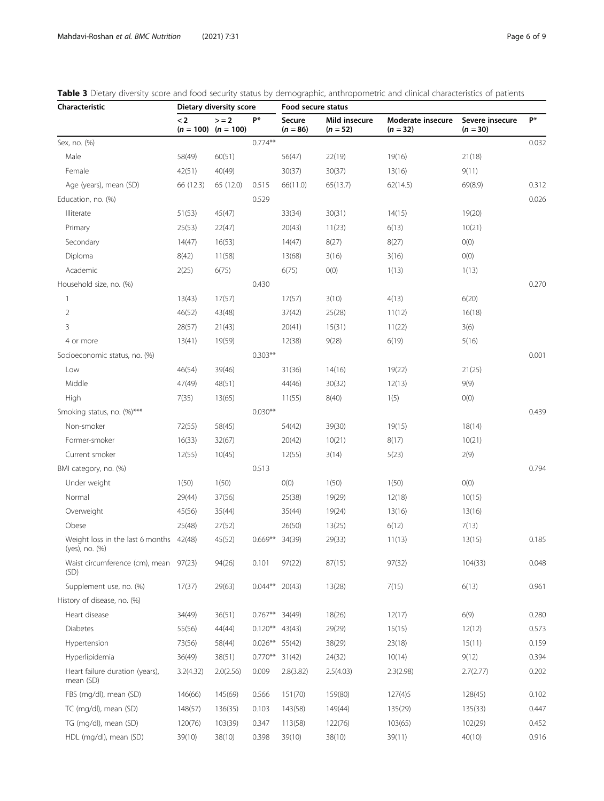| Characteristic                                            | Dietary diversity score |                                    |           | Food secure status   |                             |                                 |                               |       |
|-----------------------------------------------------------|-------------------------|------------------------------------|-----------|----------------------|-----------------------------|---------------------------------|-------------------------------|-------|
|                                                           | $\lt 2$                 | $> = 2$<br>$(n = 100)$ $(n = 100)$ | P*        | Secure<br>$(n = 86)$ | Mild insecure<br>$(n = 52)$ | Moderate insecure<br>$(n = 32)$ | Severe insecure<br>$(n = 30)$ | P*    |
| Sex, no. (%)                                              |                         |                                    | $0.774**$ |                      |                             |                                 |                               | 0.032 |
| Male                                                      | 58(49)                  | 60(51)                             |           | 56(47)               | 22(19)                      | 19(16)                          | 21(18)                        |       |
| Female                                                    | 42(51)                  | 40(49)                             |           | 30(37)               | 30(37)                      | 13(16)                          | 9(11)                         |       |
| Age (years), mean (SD)                                    | 66 (12.3)               | 65 (12.0)                          | 0.515     | 66(11.0)             | 65(13.7)                    | 62(14.5)                        | 69(8.9)                       | 0.312 |
| Education, no. (%)                                        |                         |                                    | 0.529     |                      |                             |                                 |                               | 0.026 |
| Illiterate                                                | 51(53)                  | 45(47)                             |           | 33(34)               | 30(31)                      | 14(15)                          | 19(20)                        |       |
| Primary                                                   | 25(53)                  | 22(47)                             |           | 20(43)               | 11(23)                      | 6(13)                           | 10(21)                        |       |
| Secondary                                                 | 14(47)                  | 16(53)                             |           | 14(47)               | 8(27)                       | 8(27)                           | O(0)                          |       |
| Diploma                                                   | 8(42)                   | 11(58)                             |           | 13(68)               | 3(16)                       | 3(16)                           | O(0)                          |       |
| Academic                                                  | 2(25)                   | 6(75)                              |           | 6(75)                | O(0)                        | 1(13)                           | 1(13)                         |       |
| Household size, no. (%)                                   |                         |                                    | 0.430     |                      |                             |                                 |                               | 0.270 |
| 1                                                         | 13(43)                  | 17(57)                             |           | 17(57)               | 3(10)                       | 4(13)                           | 6(20)                         |       |
| 2                                                         | 46(52)                  | 43(48)                             |           | 37(42)               | 25(28)                      | 11(12)                          | 16(18)                        |       |
| 3                                                         | 28(57)                  | 21(43)                             |           | 20(41)               | 15(31)                      | 11(22)                          | 3(6)                          |       |
| 4 or more                                                 | 13(41)                  | 19(59)                             |           | 12(38)               | 9(28)                       | 6(19)                           | 5(16)                         |       |
| Socioeconomic status, no. (%)                             |                         |                                    | $0.303**$ |                      |                             |                                 |                               | 0.001 |
| Low                                                       | 46(54)                  | 39(46)                             |           | 31(36)               | 14(16)                      | 19(22)                          | 21(25)                        |       |
| Middle                                                    | 47(49)                  | 48(51)                             |           | 44(46)               | 30(32)                      | 12(13)                          | 9(9)                          |       |
| High                                                      | 7(35)                   | 13(65)                             |           | 11(55)               | 8(40)                       | 1(5)                            | O(0)                          |       |
| Smoking status, no. (%)***                                |                         |                                    | $0.030**$ |                      |                             |                                 |                               | 0.439 |
| Non-smoker                                                | 72(55)                  | 58(45)                             |           | 54(42)               | 39(30)                      | 19(15)                          | 18(14)                        |       |
| Former-smoker                                             | 16(33)                  | 32(67)                             |           | 20(42)               | 10(21)                      | 8(17)                           | 10(21)                        |       |
| Current smoker                                            | 12(55)                  | 10(45)                             |           | 12(55)               | 3(14)                       | 5(23)                           | 2(9)                          |       |
| BMI category, no. (%)                                     |                         |                                    | 0.513     |                      |                             |                                 |                               | 0.794 |
| Under weight                                              | 1(50)                   | 1(50)                              |           | O(0)                 | 1(50)                       | 1(50)                           | O(0)                          |       |
| Normal                                                    | 29(44)                  | 37(56)                             |           | 25(38)               | 19(29)                      | 12(18)                          | 10(15)                        |       |
| Overweight                                                | 45(56)                  | 35(44)                             |           | 35(44)               | 19(24)                      | 13(16)                          | 13(16)                        |       |
| Obese                                                     | 25(48)                  | 27(52)                             |           | 26(50)               | 13(25)                      | 6(12)                           | 7(13)                         |       |
| Weight loss in the last 6 months 42(48)<br>(yes), no. (%) |                         | 45(52)                             | $0.669**$ | 34(39)               | 29(33)                      | 11(13)                          | 13(15)                        | 0.185 |
| Waist circumference (cm), mean<br>(SD)                    | 97(23)                  | 94(26)                             | 0.101     | 97(22)               | 87(15)                      | 97(32)                          | 104(33)                       | 0.048 |
| Supplement use, no. (%)                                   | 17(37)                  | 29(63)                             | $0.044**$ | 20(43)               | 13(28)                      | 7(15)                           | 6(13)                         | 0.961 |
| History of disease, no. (%)                               |                         |                                    |           |                      |                             |                                 |                               |       |
| Heart disease                                             | 34(49)                  | 36(51)                             | $0.767**$ | 34(49)               | 18(26)                      | 12(17)                          | 6(9)                          | 0.280 |
| Diabetes                                                  | 55(56)                  | 44(44)                             | $0.120**$ | 43(43)               | 29(29)                      | 15(15)                          | 12(12)                        | 0.573 |
| Hypertension                                              | 73(56)                  | 58(44)                             | $0.026**$ | 55(42)               | 38(29)                      | 23(18)                          | 15(11)                        | 0.159 |
| Hyperlipidemia                                            | 36(49)                  | 38(51)                             | $0.770**$ | 31(42)               | 24(32)                      | 10(14)                          | 9(12)                         | 0.394 |
| Heart failure duration (years),<br>mean (SD)              | 3.2(4.32)               | 2.0(2.56)                          | 0.009     | 2.8(3.82)            | 2.5(4.03)                   | 2.3(2.98)                       | 2.7(2.77)                     | 0.202 |
| FBS (mg/dl), mean (SD)                                    | 146(66)                 | 145(69)                            | 0.566     | 151(70)              | 159(80)                     | 127(4)5                         | 128(45)                       | 0.102 |
| TC (mg/dl), mean (SD)                                     | 148(57)                 | 136(35)                            | 0.103     | 143(58)              | 149(44)                     | 135(29)                         | 135(33)                       | 0.447 |
| TG (mg/dl), mean (SD)                                     | 120(76)                 | 103(39)                            | 0.347     | 113(58)              | 122(76)                     | 103(65)                         | 102(29)                       | 0.452 |
| HDL (mg/dl), mean (SD)                                    | 39(10)                  | 38(10)                             | 0.398     | 39(10)               | 38(10)                      | 39(11)                          | 40(10)                        | 0.916 |

<span id="page-5-0"></span>

|  | Table 3 Dietary diversity score and food security status by demographic, anthropometric and clinical characteristics of patients |
|--|----------------------------------------------------------------------------------------------------------------------------------|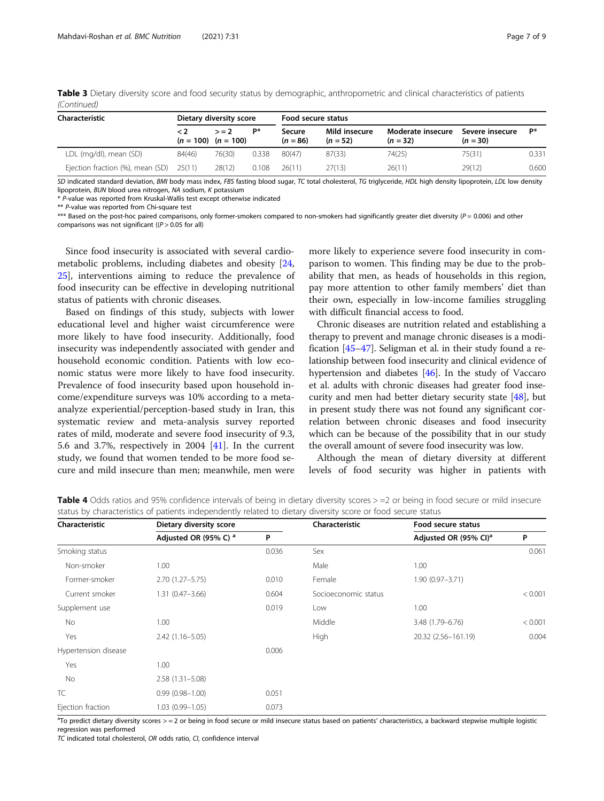| Characteristic                          | Dietary diversity score |                                    |       | Food secure status   |                             |                                 |                               |       |
|-----------------------------------------|-------------------------|------------------------------------|-------|----------------------|-----------------------------|---------------------------------|-------------------------------|-------|
|                                         | $\leq 2$                | $> = 2$<br>$(n = 100)$ $(n = 100)$ | P*    | Secure<br>$(n = 86)$ | Mild insecure<br>$(n = 52)$ | Moderate insecure<br>$(n = 32)$ | Severe insecure<br>$(n = 30)$ | Р*    |
| LDL (mg/dl), mean (SD)                  | 84(46)                  | 76(30)                             | 0.338 | 80(47)               | 87(33)                      | 74(25)                          | 75(31)                        | 0.331 |
| Ejection fraction (%), mean (SD) 25(11) |                         | 28(12)                             | 0.108 | 26(11)               | 27(13)                      | 26(11)                          | 29(12)                        | 0.600 |

<span id="page-6-0"></span>Table 3 Dietary diversity score and food security status by demographic, anthropometric and clinical characteristics of patients (Continued)

SD indicated standard deviation, BMI body mass index, FBS fasting blood sugar, TC total cholesterol, TG triglyceride, HDL high density lipoprotein, LDL low density lipoprotein, BUN blood urea nitrogen, NA sodium, K potassium

\* P-value was reported from Kruskal-Wallis test except otherwise indicated

\*\* P-value was reported from Chi-square test

\*\*\* Based on the post-hoc paired comparisons, only former-smokers compared to non-smokers had significantly greater diet diversity  $(P = 0.006)$  and other comparisons was not significant  $((P > 0.05$  for all)

Since food insecurity is associated with several cardiometabolic problems, including diabetes and obesity [[24](#page-8-0), [25\]](#page-8-0), interventions aiming to reduce the prevalence of food insecurity can be effective in developing nutritional status of patients with chronic diseases.

Based on findings of this study, subjects with lower educational level and higher waist circumference were more likely to have food insecurity. Additionally, food insecurity was independently associated with gender and household economic condition. Patients with low economic status were more likely to have food insecurity. Prevalence of food insecurity based upon household income/expenditure surveys was 10% according to a metaanalyze experiential/perception-based study in Iran, this systematic review and meta-analysis survey reported rates of mild, moderate and severe food insecurity of 9.3, 5.6 and 3.7%, respectively in 2004 [\[41\]](#page-8-0). In the current study, we found that women tended to be more food secure and mild insecure than men; meanwhile, men were

more likely to experience severe food insecurity in comparison to women. This finding may be due to the probability that men, as heads of households in this region, pay more attention to other family members' diet than their own, especially in low-income families struggling with difficult financial access to food.

Chronic diseases are nutrition related and establishing a therapy to prevent and manage chronic diseases is a modification [[45](#page-8-0)–[47\]](#page-8-0). Seligman et al. in their study found a relationship between food insecurity and clinical evidence of hypertension and diabetes [\[46](#page-8-0)]. In the study of Vaccaro et al. adults with chronic diseases had greater food insecurity and men had better dietary security state [[48](#page-8-0)], but in present study there was not found any significant correlation between chronic diseases and food insecurity which can be because of the possibility that in our study the overall amount of severe food insecurity was low.

Although the mean of dietary diversity at different levels of food security was higher in patients with

| Characteristic       | Dietary diversity score          |       | Characteristic       | Food secure status                |         |  |
|----------------------|----------------------------------|-------|----------------------|-----------------------------------|---------|--|
|                      | Adjusted OR (95% C) <sup>a</sup> | P     |                      | Adjusted OR (95% CI) <sup>a</sup> | P       |  |
| Smoking status       |                                  | 0.036 | Sex                  |                                   | 0.061   |  |
| Non-smoker           | 1.00                             |       | Male                 | 1.00                              |         |  |
| Former-smoker        | $2.70(1.27 - 5.75)$              | 0.010 | Female               | $1.90(0.97 - 3.71)$               |         |  |
| Current smoker       | $1.31(0.47 - 3.66)$              | 0.604 | Socioeconomic status |                                   | < 0.001 |  |
| Supplement use       |                                  | 0.019 | Low                  | 1.00                              |         |  |
| No                   | 1.00                             |       | Middle               | 3.48 (1.79-6.76)                  | < 0.001 |  |
| Yes                  | $2.42(1.16 - 5.05)$              |       | High                 | 20.32 (2.56-161.19)               | 0.004   |  |
| Hypertension disease |                                  | 0.006 |                      |                                   |         |  |
| Yes                  | 1.00                             |       |                      |                                   |         |  |
| No                   | $2.58(1.31 - 5.08)$              |       |                      |                                   |         |  |
| <b>TC</b>            | $0.99(0.98 - 1.00)$              | 0.051 |                      |                                   |         |  |
| Ejection fraction    | $1.03(0.99 - 1.05)$              | 0.073 |                      |                                   |         |  |

Table 4 Odds ratios and 95% confidence intervals of being in dietary diversity scores > = 2 or being in food secure or mild insecure status by characteristics of patients independently related to dietary diversity score or food secure status

<sup>a</sup>To predict dietary diversity scores > = 2 or being in food secure or mild insecure status based on patients' characteristics, a backward stepwise multiple logistic regression was performed

TC indicated total cholesterol, OR odds ratio, CI, confidence interval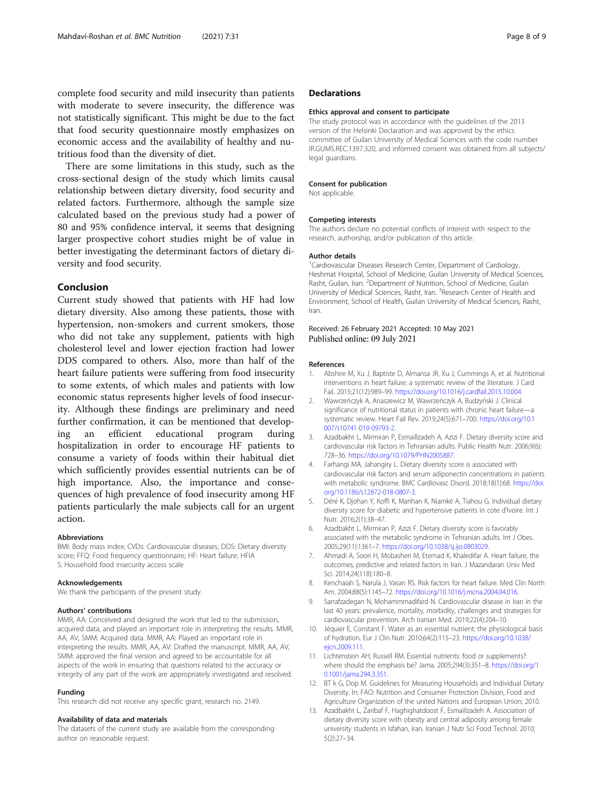<span id="page-7-0"></span>complete food security and mild insecurity than patients with moderate to severe insecurity, the difference was not statistically significant. This might be due to the fact that food security questionnaire mostly emphasizes on economic access and the availability of healthy and nutritious food than the diversity of diet.

There are some limitations in this study, such as the cross-sectional design of the study which limits causal relationship between dietary diversity, food security and related factors. Furthermore, although the sample size calculated based on the previous study had a power of 80 and 95% confidence interval, it seems that designing larger prospective cohort studies might be of value in better investigating the determinant factors of dietary diversity and food security.

### Conclusion

Current study showed that patients with HF had low dietary diversity. Also among these patients, those with hypertension, non-smokers and current smokers, those who did not take any supplement, patients with high cholesterol level and lower ejection fraction had lower DDS compared to others. Also, more than half of the heart failure patients were suffering from food insecurity to some extents, of which males and patients with low economic status represents higher levels of food insecurity. Although these findings are preliminary and need further confirmation, it can be mentioned that developing an efficient educational program during hospitalization in order to encourage HF patients to consume a variety of foods within their habitual diet which sufficiently provides essential nutrients can be of high importance. Also, the importance and consequences of high prevalence of food insecurity among HF patients particularly the male subjects call for an urgent action.

#### Abbreviations

BMI: Body mass index; CVDs: Cardiovascular diseases; DDS: Dietary diversity score; FFQ: Food frequency questionnaire; HF: Heart failure; HFIA S: Household food insecurity access scale

#### Acknowledgements

We thank the participants of the present study.

#### Authors' contributions

MMR, AA: Conceived and designed the work that led to the submission, acquired data, and played an important role in interpreting the results. MMR, AA, AV, SMM: Acquired data. MMR, AA: Played an important role in interpreting the results. MMR, AA, AV: Drafted the manuscript. MMR, AA, AV, SMM: approved the final version and agreed to be accountable for all aspects of the work in ensuring that questions related to the accuracy or integrity of any part of the work are appropriately investigated and resolved.

#### Funding

This research did not receive any specific grant, research no. 2149.

#### Availability of data and materials

The datasets of the current study are available from the corresponding author on reasonable request.

#### **Declarations**

#### Ethics approval and consent to participate

The study protocol was in accordance with the guidelines of the 2013 version of the Helsinki Declaration and was approved by the ethics committee of Guilan University of Medical Sciences with the code number IR.GUMS.REC.1397.320, and informed consent was obtained from all subjects/ legal guardians.

#### Consent for publication

Not applicable.

#### Competing interests

The authors declare no potential conflicts of interest with respect to the research, authorship, and/or publication of this article.

#### Author details

<sup>1</sup> Cardiovascular Diseases Research Center, Department of Cardiology Heshmat Hospital, School of Medicine, Guilan University of Medical Sciences, Rasht, Guilan, Iran. <sup>2</sup> Department of Nutrition, School of Medicine, Guilan University of Medical Sciences, Rasht, Iran. <sup>3</sup> Research Center of Health and Environment, School of Health, Guilan University of Medical Sciences, Rasht, Iran.

#### Received: 26 February 2021 Accepted: 10 May 2021 Published online: 09 July 2021

#### References

- 1. Abshire M, Xu J, Baptiste D, Almansa JR, Xu J, Cummings A, et al. Nutritional interventions in heart failure: a systematic review of the literature. J Card Fail. 2015;21(12):989–99. <https://doi.org/10.1016/j.cardfail.2015.10.004>.
- 2. Wawrzeńczyk A, Anaszewicz M, Wawrzeńczyk A, Budzyński J. Clinical significance of nutritional status in patients with chronic heart failure—a systematic review. Heart Fail Rev. 2019;24(5):671–700. [https://doi.org/10.1](https://doi.org/10.1007/s10741-019-09793-2) [007/s10741-019-09793-2](https://doi.org/10.1007/s10741-019-09793-2).
- 3. Azadbakht L, Mirmiran P, Esmaillzadeh A, Azizi F. Dietary diversity score and cardiovascular risk factors in Tehranian adults. Public Health Nutr. 2006;9(6): 728–36. <https://doi.org/10.1079/PHN2005887>.
- 4. Farhangi MA, Jahangiry L. Dietary diversity score is associated with cardiovascular risk factors and serum adiponectin concentrations in patients with metabolic syndrome. BMC Cardiovasc Disord. 2018;18(1):68. [https://doi.](https://doi.org/10.1186/s12872-018-0807-3) [org/10.1186/s12872-018-0807-3](https://doi.org/10.1186/s12872-018-0807-3).
- 5. Déré K, Djohan Y, Koffi K, Manhan K, Niamké A, Tiahou G. Individual dietary diversity score for diabetic and hypertensive patients in cote d'Ivoire. Int J Nutr. 2016;2(1):38–47.
- Azadbakht L, Mirmiran P, Azizi F. Dietary diversity score is favorably associated with the metabolic syndrome in Tehranian adults. Int J Obes. 2005;29(11):1361–7. <https://doi.org/10.1038/sj.ijo.0803029>.
- 7. Ahmadi A, Soori H, Mobasheri M, Etemad K, Khaledifar A. Heart failure, the outcomes, predictive and related factors in Iran. J Mazandaran Univ Med Sci. 2014;24(118):180–8.
- 8. Kenchaiah S, Narula J, Vasan RS. Risk factors for heart failure. Med Clin North Am. 2004;88(5):1145–72. <https://doi.org/10.1016/j.mcna.2004.04.016>.
- 9. Sarrafzadegan N, Mohammmadifard N. Cardiovascular disease in Iran in the last 40 years: prevalence, mortality, morbidity, challenges and strategies for cardiovascular prevention. Arch Iranian Med. 2019;22(4):204–10.
- 10. Jéquier E, Constant F. Water as an essential nutrient: the physiological basis of hydration. Eur J Clin Nutr. 2010;64(2):115–23. [https://doi.org/10.1038/](https://doi.org/10.1038/ejcn.2009.111) [ejcn.2009.111.](https://doi.org/10.1038/ejcn.2009.111)
- 11. Lichtenstein AH, Russell RM. Essential nutrients: food or supplements?: where should the emphasis be? Jama. 2005;294(3):351–8. [https://doi.org/1](https://doi.org/10.1001/jama.294.3.351) [0.1001/jama.294.3.351.](https://doi.org/10.1001/jama.294.3.351)
- 12. BT k G, Dop M. Guidelines for Measuring Households and Individual Dietary Diversity. In: FAO: Nutrition and Consumer Protection Division, Food and Agriculture Organization of the united Nations and European Union; 2010.
- 13. Azadbakht L, Zaribaf F, Haghighatdoost F, Esmaillzadeh A. Association of dietary diversity score with obesity and central adiposity among female university students in Isfahan, Iran. Iranian J Nutr Sci Food Technol. 2010; 5(2):27–34.